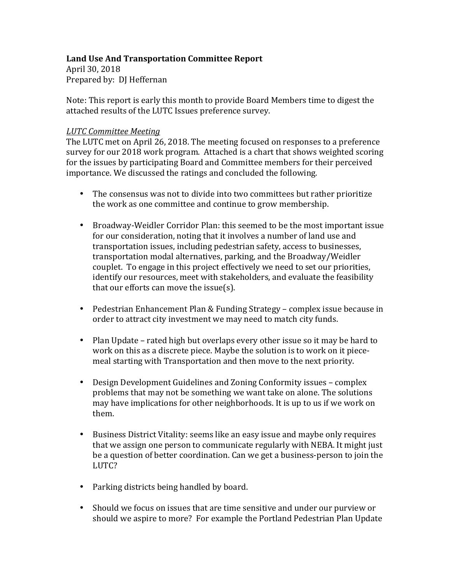# Land Use And Transportation Committee Report

April 30, 2018 Prepared by: DJ Heffernan

Note: This report is early this month to provide Board Members time to digest the attached results of the LUTC Issues preference survey.

## *LUTC Committee Meeting*

The LUTC met on April 26, 2018. The meeting focused on responses to a preference survey for our 2018 work program. Attached is a chart that shows weighted scoring for the issues by participating Board and Committee members for their perceived importance. We discussed the ratings and concluded the following.

- The consensus was not to divide into two committees but rather prioritize the work as one committee and continue to grow membership.
- Broadway-Weidler Corridor Plan: this seemed to be the most important issue for our consideration, noting that it involves a number of land use and transportation issues, including pedestrian safety, access to businesses, transportation modal alternatives, parking, and the Broadway/Weidler couplet. To engage in this project effectively we need to set our priorities, identify our resources, meet with stakeholders, and evaluate the feasibility that our efforts can move the issue(s).
- Pedestrian Enhancement Plan & Funding Strategy complex issue because in order to attract city investment we may need to match city funds.
- Plan Update rated high but overlaps every other issue so it may be hard to work on this as a discrete piece. Maybe the solution is to work on it piecemeal starting with Transportation and then move to the next priority.
- Design Development Guidelines and Zoning Conformity issues complex problems that may not be something we want take on alone. The solutions may have implications for other neighborhoods. It is up to us if we work on them.
- Business District Vitality: seems like an easy issue and maybe only requires that we assign one person to communicate regularly with NEBA. It might just be a question of better coordination. Can we get a business-person to join the LUTC?
- Parking districts being handled by board.
- Should we focus on issues that are time sensitive and under our purview or should we aspire to more? For example the Portland Pedestrian Plan Update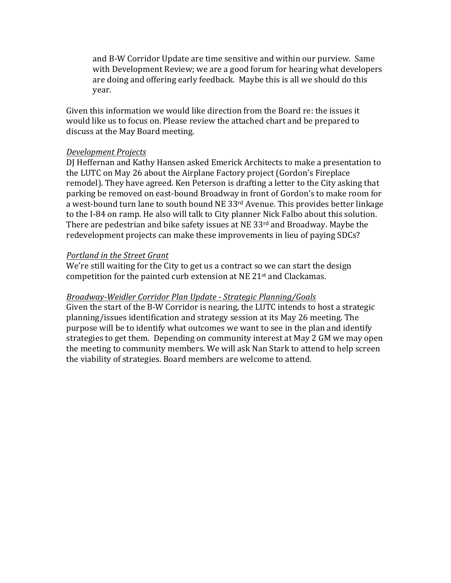and B-W Corridor Update are time sensitive and within our purview. Same with Development Review; we are a good forum for hearing what developers are doing and offering early feedback. Maybe this is all we should do this year.

Given this information we would like direction from the Board re: the issues it would like us to focus on. Please review the attached chart and be prepared to discuss at the May Board meeting.

#### *Development Projects*

DJ Heffernan and Kathy Hansen asked Emerick Architects to make a presentation to the LUTC on May 26 about the Airplane Factory project (Gordon's Fireplace remodel). They have agreed. Ken Peterson is drafting a letter to the City asking that parking be removed on east-bound Broadway in front of Gordon's to make room for a west-bound turn lane to south bound NE  $33<sup>rd</sup>$  Avenue. This provides better linkage to the I-84 on ramp. He also will talk to City planner Nick Falbo about this solution. There are pedestrian and bike safety issues at NE 33 $rd$  and Broadway. Maybe the redevelopment projects can make these improvements in lieu of paying SDCs?

### **Portland in the Street Grant**

We're still waiting for the City to get us a contract so we can start the design competition for the painted curb extension at NE  $21<sup>st</sup>$  and Clackamas.

## *Broadway-Weidler Corridor Plan Update - Strategic Planning/Goals*

Given the start of the B-W Corridor is nearing, the LUTC intends to host a strategic planning/issues identification and strategy session at its May 26 meeting. The purpose will be to identify what outcomes we want to see in the plan and identify strategies to get them. Depending on community interest at May 2 GM we may open the meeting to community members. We will ask Nan Stark to attend to help screen the viability of strategies. Board members are welcome to attend.